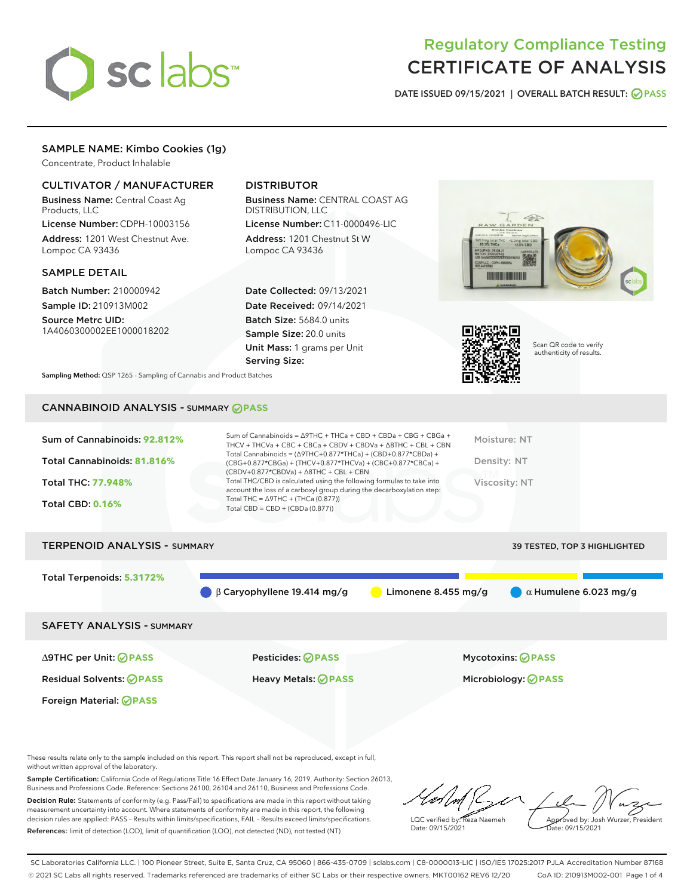

# Regulatory Compliance Testing CERTIFICATE OF ANALYSIS

DATE ISSUED 09/15/2021 | OVERALL BATCH RESULT: @ PASS

# SAMPLE NAME: Kimbo Cookies (1g)

Concentrate, Product Inhalable

# CULTIVATOR / MANUFACTURER

Business Name: Central Coast Ag Products, LLC

License Number: CDPH-10003156 Address: 1201 West Chestnut Ave. Lompoc CA 93436

#### SAMPLE DETAIL

Batch Number: 210000942 Sample ID: 210913M002

Source Metrc UID: 1A4060300002EE1000018202

# DISTRIBUTOR

Business Name: CENTRAL COAST AG DISTRIBUTION, LLC License Number: C11-0000496-LIC

Address: 1201 Chestnut St W Lompoc CA 93436

Date Collected: 09/13/2021 Date Received: 09/14/2021 Batch Size: 5684.0 units Sample Size: 20.0 units Unit Mass: 1 grams per Unit Serving Size:





Scan QR code to verify authenticity of results.

Sampling Method: QSP 1265 - Sampling of Cannabis and Product Batches

# CANNABINOID ANALYSIS - SUMMARY **PASS**

| Sum of Cannabinoids: 92.812%        | Sum of Cannabinoids = $\triangle$ 9THC + THCa + CBD + CBDa + CBG + CBGa +<br>THCV + THCVa + CBC + CBCa + CBDV + CBDVa + $\land$ 8THC + CBL + CBN                                     | Moisture: NT                        |
|-------------------------------------|--------------------------------------------------------------------------------------------------------------------------------------------------------------------------------------|-------------------------------------|
| Total Cannabinoids: 81.816%         | Total Cannabinoids = $(\Delta$ 9THC+0.877*THCa) + (CBD+0.877*CBDa) +<br>(CBG+0.877*CBGa) + (THCV+0.877*THCVa) + (CBC+0.877*CBCa) +<br>$(CBDV+0.877*CBDVa) + \Delta 8THC + CBL + CBN$ | Density: NT                         |
| <b>Total THC: 77.948%</b>           | Total THC/CBD is calculated using the following formulas to take into<br>account the loss of a carboxyl group during the decarboxylation step:                                       | Viscosity: NT                       |
| <b>Total CBD: 0.16%</b>             | Total THC = $\triangle$ 9THC + (THCa (0.877))<br>Total CBD = $CBD + (CBDa (0.877))$                                                                                                  |                                     |
| <b>TERPENOID ANALYSIS - SUMMARY</b> |                                                                                                                                                                                      | <b>39 TESTED, TOP 3 HIGHLIGHTED</b> |

Total Terpenoids: **5.3172%** β Caryophyllene 19.414 mg/g **a** Limonene 8.455 mg/g  $\alpha$  Humulene 6.023 mg/g SAFETY ANALYSIS - SUMMARY

Foreign Material: **PASS**

∆9THC per Unit: **PASS** Pesticides: **PASS** Mycotoxins: **PASS**

Residual Solvents: **PASS** Heavy Metals: **PASS** Microbiology: **PASS**

These results relate only to the sample included on this report. This report shall not be reproduced, except in full, without written approval of the laboratory.

Sample Certification: California Code of Regulations Title 16 Effect Date January 16, 2019. Authority: Section 26013, Business and Professions Code. Reference: Sections 26100, 26104 and 26110, Business and Professions Code. Decision Rule: Statements of conformity (e.g. Pass/Fail) to specifications are made in this report without taking measurement uncertainty into account. Where statements of conformity are made in this report, the following

References: limit of detection (LOD), limit of quantification (LOQ), not detected (ND), not tested (NT)

decision rules are applied: PASS – Results within limits/specifications, FAIL – Results exceed limits/specifications.

LQC verified by: Reza Naemeh Date: 09/15/2021 Approved by: Josh Wurzer, President Date: 09/15/2021

SC Laboratories California LLC. | 100 Pioneer Street, Suite E, Santa Cruz, CA 95060 | 866-435-0709 | sclabs.com | C8-0000013-LIC | ISO/IES 17025:2017 PJLA Accreditation Number 87168 © 2021 SC Labs all rights reserved. Trademarks referenced are trademarks of either SC Labs or their respective owners. MKT00162 REV6 12/20 CoA ID: 210913M002-001 Page 1 of 4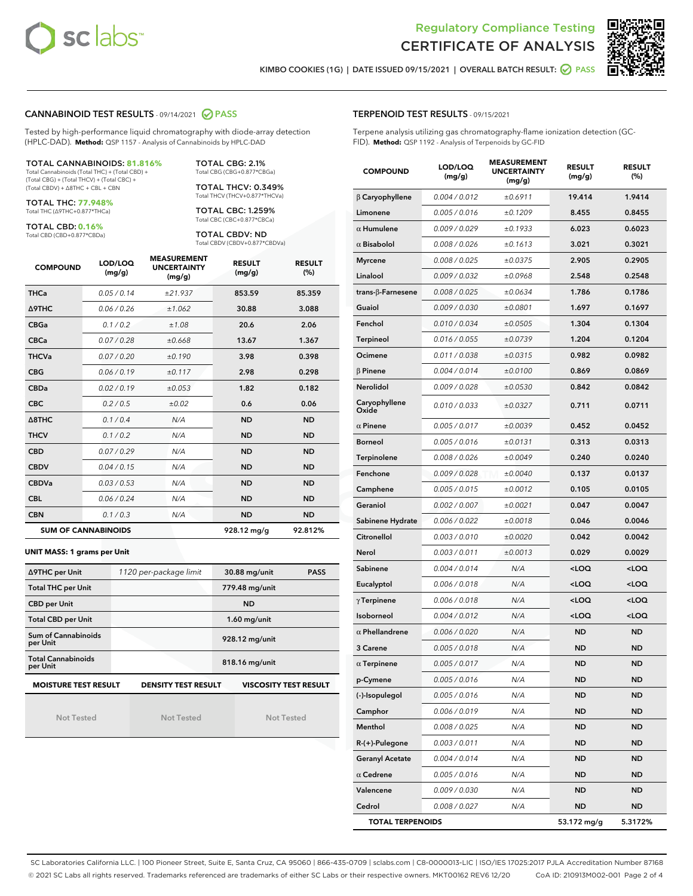



KIMBO COOKIES (1G) | DATE ISSUED 09/15/2021 | OVERALL BATCH RESULT: **● PASS** 

#### CANNABINOID TEST RESULTS - 09/14/2021 2 PASS

Tested by high-performance liquid chromatography with diode-array detection (HPLC-DAD). **Method:** QSP 1157 - Analysis of Cannabinoids by HPLC-DAD

#### TOTAL CANNABINOIDS: **81.816%**

Total Cannabinoids (Total THC) + (Total CBD) + (Total CBG) + (Total THCV) + (Total CBC) + (Total CBDV) + ∆8THC + CBL + CBN

TOTAL THC: **77.948%** Total THC (∆9THC+0.877\*THCa)

TOTAL CBD: **0.16%**

Total CBD (CBD+0.877\*CBDa)

TOTAL CBG: 2.1% Total CBG (CBG+0.877\*CBGa)

TOTAL THCV: 0.349% Total THCV (THCV+0.877\*THCVa)

TOTAL CBC: 1.259% Total CBC (CBC+0.877\*CBCa)

TOTAL CBDV: ND Total CBDV (CBDV+0.877\*CBDVa)

| <b>COMPOUND</b>  | LOD/LOQ<br>(mg/g)          | <b>MEASUREMENT</b><br><b>UNCERTAINTY</b><br>(mg/g) | <b>RESULT</b><br>(mg/g) | <b>RESULT</b><br>(%) |
|------------------|----------------------------|----------------------------------------------------|-------------------------|----------------------|
| <b>THCa</b>      | 0.05 / 0.14                | ±21.937                                            | 853.59                  | 85.359               |
| <b>A9THC</b>     | 0.06 / 0.26                | ±1.062                                             | 30.88                   | 3.088                |
| <b>CBGa</b>      | 0.1 / 0.2                  | ±1.08                                              | 20.6                    | 2.06                 |
| <b>CBCa</b>      | 0.07/0.28                  | ±0.668                                             | 13.67                   | 1.367                |
| <b>THCVa</b>     | 0.07/0.20                  | ±0.190                                             | 3.98                    | 0.398                |
| <b>CBG</b>       | 0.06/0.19                  | ±0.117                                             | 2.98                    | 0.298                |
| <b>CBDa</b>      | 0.02 / 0.19                | ±0.053                                             | 1.82                    | 0.182                |
| <b>CBC</b>       | 0.2/0.5                    | ±0.02                                              | 0.6                     | 0.06                 |
| $\triangle$ 8THC | 0.1 / 0.4                  | N/A                                                | <b>ND</b>               | <b>ND</b>            |
| <b>THCV</b>      | 0.1/0.2                    | N/A                                                | <b>ND</b>               | <b>ND</b>            |
| <b>CBD</b>       | 0.07/0.29                  | N/A                                                | <b>ND</b>               | <b>ND</b>            |
| <b>CBDV</b>      | 0.04 / 0.15                | N/A                                                | <b>ND</b>               | <b>ND</b>            |
| <b>CBDVa</b>     | 0.03/0.53                  | N/A                                                | <b>ND</b>               | <b>ND</b>            |
| <b>CBL</b>       | 0.06 / 0.24                | N/A                                                | <b>ND</b>               | <b>ND</b>            |
| <b>CBN</b>       | 0.1/0.3                    | N/A                                                | <b>ND</b>               | <b>ND</b>            |
|                  | <b>SUM OF CANNABINOIDS</b> |                                                    | 928.12 mg/g             | 92.812%              |

#### **UNIT MASS: 1 grams per Unit**

| ∆9THC per Unit                        | 1120 per-package limit     | 30.88 mg/unit<br><b>PASS</b> |  |  |
|---------------------------------------|----------------------------|------------------------------|--|--|
| <b>Total THC per Unit</b>             |                            | 779.48 mg/unit               |  |  |
| <b>CBD per Unit</b>                   |                            | <b>ND</b>                    |  |  |
| <b>Total CBD per Unit</b>             |                            | $1.60$ mg/unit               |  |  |
| Sum of Cannabinoids<br>per Unit       |                            | 928.12 mg/unit               |  |  |
| <b>Total Cannabinoids</b><br>per Unit |                            | 818.16 mg/unit               |  |  |
| <b>MOISTURE TEST RESULT</b>           | <b>DENSITY TEST RESULT</b> | <b>VISCOSITY TEST RESULT</b> |  |  |

Not Tested

Not Tested

Not Tested

#### TERPENOID TEST RESULTS - 09/15/2021

Terpene analysis utilizing gas chromatography-flame ionization detection (GC-FID). **Method:** QSP 1192 - Analysis of Terpenoids by GC-FID

| <b>COMPOUND</b>         | LOD/LOQ<br>(mg/g) | <b>MEASUREMENT</b><br><b>UNCERTAINTY</b><br>(mg/g) | <b>RESULT</b><br>(mg/g)                          | <b>RESULT</b><br>(%) |
|-------------------------|-------------------|----------------------------------------------------|--------------------------------------------------|----------------------|
| $\beta$ Caryophyllene   | 0.004 / 0.012     | ±0.6911                                            | 19.414                                           | 1.9414               |
| Limonene                | 0.005 / 0.016     | ±0.1209                                            | 8.455                                            | 0.8455               |
| $\alpha$ Humulene       | 0.009 / 0.029     | ±0.1933                                            | 6.023                                            | 0.6023               |
| $\alpha$ Bisabolol      | 0.008 / 0.026     | ±0.1613                                            | 3.021                                            | 0.3021               |
| <b>Myrcene</b>          | 0.008 / 0.025     | ±0.0375                                            | 2.905                                            | 0.2905               |
| Linalool                | 0.009 / 0.032     | ±0.0968                                            | 2.548                                            | 0.2548               |
| trans-ß-Farnesene       | 0.008 / 0.025     | ±0.0634                                            | 1.786                                            | 0.1786               |
| Guaiol                  | 0.009 / 0.030     | ±0.0801                                            | 1.697                                            | 0.1697               |
| Fenchol                 | 0.010 / 0.034     | ±0.0505                                            | 1.304                                            | 0.1304               |
| Terpineol               | 0.016 / 0.055     | ±0.0739                                            | 1.204                                            | 0.1204               |
| Ocimene                 | 0.011 / 0.038     | ±0.0315                                            | 0.982                                            | 0.0982               |
| $\beta$ Pinene          | 0.004 / 0.014     | ±0.0100                                            | 0.869                                            | 0.0869               |
| Nerolidol               | 0.009 / 0.028     | ±0.0530                                            | 0.842                                            | 0.0842               |
| Caryophyllene<br>Oxide  | 0.010 / 0.033     | ±0.0327                                            | 0.711                                            | 0.0711               |
| $\alpha$ Pinene         | 0.005 / 0.017     | ±0.0039                                            | 0.452                                            | 0.0452               |
| <b>Borneol</b>          | 0.005 / 0.016     | ±0.0131                                            | 0.313                                            | 0.0313               |
| Terpinolene             | 0.008 / 0.026     | ±0.0049                                            | 0.240                                            | 0.0240               |
| Fenchone                | 0.009 / 0.028     | ±0.0040                                            | 0.137                                            | 0.0137               |
| Camphene                | 0.005 / 0.015     | ±0.0012                                            | 0.105                                            | 0.0105               |
| Geraniol                | 0.002 / 0.007     | ±0.0021                                            | 0.047                                            | 0.0047               |
| Sabinene Hydrate        | 0.006 / 0.022     | ±0.0018                                            | 0.046                                            | 0.0046               |
| Citronellol             | 0.003 / 0.010     | ±0.0020                                            | 0.042                                            | 0.0042               |
| Nerol                   | 0.003 / 0.011     | ±0.0013                                            | 0.029                                            | 0.0029               |
| Sabinene                | 0.004 / 0.014     | N/A                                                | <loq< th=""><th><math>&lt;</math>LOQ</th></loq<> | $<$ LOQ              |
| Eucalyptol              | 0.006 / 0.018     | N/A                                                | <loq< th=""><th><loq< th=""></loq<></th></loq<>  | <loq< th=""></loq<>  |
| $\gamma$ Terpinene      | 0.006 / 0.018     | N/A                                                | <loq< th=""><th><loq< th=""></loq<></th></loq<>  | <loq< th=""></loq<>  |
| Isoborneol              | 0.004 / 0.012     | N/A                                                | <loq< th=""><th><math>&lt;</math>LOQ</th></loq<> | $<$ LOQ              |
| $\alpha$ Phellandrene   | 0.006 / 0.020     | N/A                                                | ND                                               | <b>ND</b>            |
| 3 Carene                | 0.005 / 0.018     | N/A                                                | <b>ND</b>                                        | <b>ND</b>            |
| $\alpha$ Terpinene      | 0.005 / 0.017     | N/A                                                | <b>ND</b>                                        | <b>ND</b>            |
| p-Cymene                | 0.005 / 0.016     | N/A                                                | ND                                               | <b>ND</b>            |
| (-)-Isopulegol          | 0.005 / 0.016     | N/A                                                | <b>ND</b>                                        | ND                   |
| Camphor                 | 0.006 / 0.019     | N/A                                                | ND                                               | <b>ND</b>            |
| Menthol                 | 0.008 / 0.025     | N/A                                                | <b>ND</b>                                        | <b>ND</b>            |
| R-(+)-Pulegone          | 0.003 / 0.011     | N/A                                                | ND                                               | ND                   |
| <b>Geranyl Acetate</b>  | 0.004 / 0.014     | N/A                                                | ND                                               | ND                   |
| $\alpha$ Cedrene        | 0.005 / 0.016     | N/A                                                | ND                                               | <b>ND</b>            |
| Valencene               | 0.009 / 0.030     | N/A                                                | ND                                               | ND                   |
| Cedrol                  | 0.008 / 0.027     | N/A                                                | ND                                               | <b>ND</b>            |
| <b>TOTAL TERPENOIDS</b> |                   |                                                    | 53.172 mg/g                                      | 5.3172%              |

SC Laboratories California LLC. | 100 Pioneer Street, Suite E, Santa Cruz, CA 95060 | 866-435-0709 | sclabs.com | C8-0000013-LIC | ISO/IES 17025:2017 PJLA Accreditation Number 87168 © 2021 SC Labs all rights reserved. Trademarks referenced are trademarks of either SC Labs or their respective owners. MKT00162 REV6 12/20 CoA ID: 210913M002-001 Page 2 of 4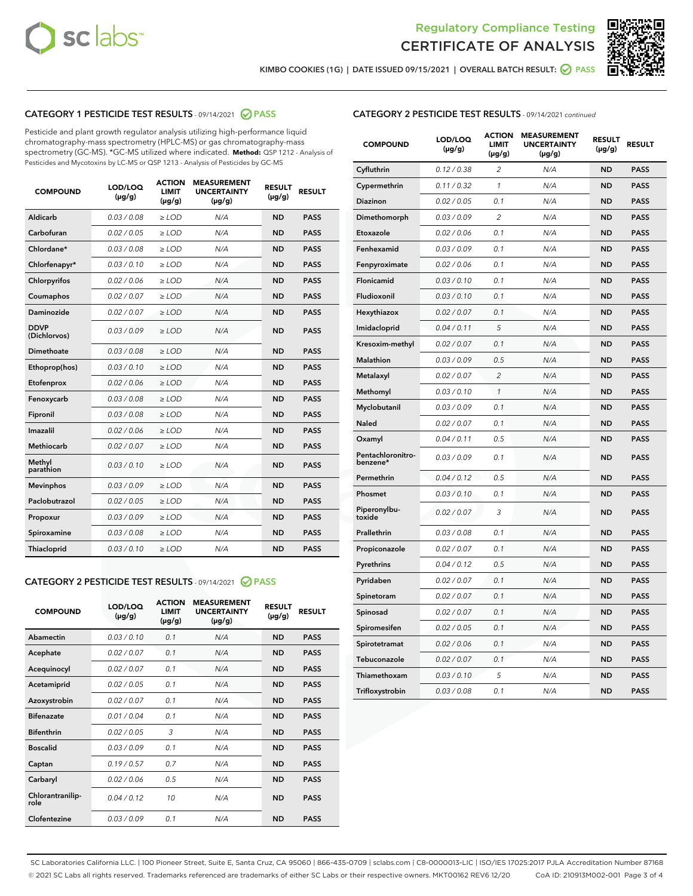



KIMBO COOKIES (1G) | DATE ISSUED 09/15/2021 | OVERALL BATCH RESULT: ● PASS

# CATEGORY 1 PESTICIDE TEST RESULTS - 09/14/2021 2 PASS

Pesticide and plant growth regulator analysis utilizing high-performance liquid chromatography-mass spectrometry (HPLC-MS) or gas chromatography-mass spectrometry (GC-MS). \*GC-MS utilized where indicated. **Method:** QSP 1212 - Analysis of Pesticides and Mycotoxins by LC-MS or QSP 1213 - Analysis of Pesticides by GC-MS

| <b>COMPOUND</b>             | LOD/LOQ<br>$(\mu g/g)$ | <b>ACTION</b><br><b>LIMIT</b><br>$(\mu g/g)$ | <b>MEASUREMENT</b><br><b>UNCERTAINTY</b><br>$(\mu g/g)$ | <b>RESULT</b><br>$(\mu g/g)$ | <b>RESULT</b> |
|-----------------------------|------------------------|----------------------------------------------|---------------------------------------------------------|------------------------------|---------------|
| Aldicarb                    | 0.03 / 0.08            | $\ge$ LOD                                    | N/A                                                     | <b>ND</b>                    | <b>PASS</b>   |
| Carbofuran                  | 0.02 / 0.05            | $\ge$ LOD                                    | N/A                                                     | <b>ND</b>                    | <b>PASS</b>   |
| Chlordane*                  | 0.03 / 0.08            | $>$ LOD                                      | N/A                                                     | <b>ND</b>                    | <b>PASS</b>   |
| Chlorfenapyr*               | 0.03/0.10              | $>$ LOD                                      | N/A                                                     | <b>ND</b>                    | <b>PASS</b>   |
| Chlorpyrifos                | 0.02 / 0.06            | $\ge$ LOD                                    | N/A                                                     | <b>ND</b>                    | <b>PASS</b>   |
| Coumaphos                   | 0.02 / 0.07            | $\ge$ LOD                                    | N/A                                                     | <b>ND</b>                    | <b>PASS</b>   |
| Daminozide                  | 0.02 / 0.07            | $\ge$ LOD                                    | N/A                                                     | <b>ND</b>                    | <b>PASS</b>   |
| <b>DDVP</b><br>(Dichlorvos) | 0.03/0.09              | $\ge$ LOD                                    | N/A                                                     | <b>ND</b>                    | <b>PASS</b>   |
| Dimethoate                  | 0.03/0.08              | $\ge$ LOD                                    | N/A                                                     | <b>ND</b>                    | <b>PASS</b>   |
| Ethoprop(hos)               | 0.03/0.10              | $>$ LOD                                      | N/A                                                     | <b>ND</b>                    | <b>PASS</b>   |
| Etofenprox                  | 0.02 / 0.06            | $\ge$ LOD                                    | N/A                                                     | <b>ND</b>                    | <b>PASS</b>   |
| Fenoxycarb                  | 0.03/0.08              | $\ge$ LOD                                    | N/A                                                     | <b>ND</b>                    | <b>PASS</b>   |
| Fipronil                    | 0.03/0.08              | $\ge$ LOD                                    | N/A                                                     | <b>ND</b>                    | <b>PASS</b>   |
| Imazalil                    | 0.02 / 0.06            | $\geq$ LOD                                   | N/A                                                     | <b>ND</b>                    | <b>PASS</b>   |
| Methiocarb                  | 0.02 / 0.07            | $\ge$ LOD                                    | N/A                                                     | <b>ND</b>                    | <b>PASS</b>   |
| Methyl<br>parathion         | 0.03/0.10              | $\ge$ LOD                                    | N/A                                                     | <b>ND</b>                    | <b>PASS</b>   |
| <b>Mevinphos</b>            | 0.03/0.09              | $\ge$ LOD                                    | N/A                                                     | <b>ND</b>                    | <b>PASS</b>   |
| Paclobutrazol               | 0.02 / 0.05            | $\ge$ LOD                                    | N/A                                                     | <b>ND</b>                    | <b>PASS</b>   |
| Propoxur                    | 0.03/0.09              | $\ge$ LOD                                    | N/A                                                     | <b>ND</b>                    | <b>PASS</b>   |
| Spiroxamine                 | 0.03 / 0.08            | $\ge$ LOD                                    | N/A                                                     | <b>ND</b>                    | <b>PASS</b>   |
| Thiacloprid                 | 0.03/0.10              | $\ge$ LOD                                    | N/A                                                     | <b>ND</b>                    | <b>PASS</b>   |

# CATEGORY 2 PESTICIDE TEST RESULTS - 09/14/2021 @ PASS

| <b>COMPOUND</b>          | LOD/LOO<br>$(\mu g/g)$ | <b>ACTION</b><br>LIMIT<br>$(\mu g/g)$ | <b>MEASUREMENT</b><br><b>UNCERTAINTY</b><br>$(\mu g/g)$ | <b>RESULT</b><br>$(\mu g/g)$ | <b>RESULT</b> |  |
|--------------------------|------------------------|---------------------------------------|---------------------------------------------------------|------------------------------|---------------|--|
| Abamectin                | 0.03/0.10              | 0.1                                   | N/A                                                     | <b>ND</b>                    | <b>PASS</b>   |  |
| Acephate                 | 0.02/0.07              | 0.1                                   | N/A                                                     | <b>ND</b>                    | <b>PASS</b>   |  |
| Acequinocyl              | 0.02/0.07              | 0.1                                   | N/A                                                     | <b>ND</b>                    | <b>PASS</b>   |  |
| Acetamiprid              | 0.02/0.05              | 0.1                                   | N/A                                                     | <b>ND</b>                    | <b>PASS</b>   |  |
| Azoxystrobin             | 0.02/0.07              | 0.1                                   | N/A                                                     | <b>ND</b>                    | <b>PASS</b>   |  |
| <b>Bifenazate</b>        | 0.01 / 0.04            | 0.1                                   | N/A                                                     | <b>ND</b>                    | <b>PASS</b>   |  |
| <b>Bifenthrin</b>        | 0.02 / 0.05            | 3                                     | N/A                                                     | <b>ND</b>                    | <b>PASS</b>   |  |
| <b>Boscalid</b>          | 0.03/0.09              | 0.1                                   | N/A                                                     | <b>ND</b>                    | <b>PASS</b>   |  |
| Captan                   | 0.19/0.57              | 07                                    | N/A                                                     | <b>ND</b>                    | <b>PASS</b>   |  |
| Carbaryl                 | 0.02/0.06              | 0.5                                   | N/A                                                     | <b>ND</b>                    | <b>PASS</b>   |  |
| Chlorantranilip-<br>role | 0.04/0.12              | 10                                    | N/A                                                     | <b>ND</b>                    | <b>PASS</b>   |  |
| Clofentezine             | 0.03/0.09              | 0 <sub>1</sub>                        | N/A                                                     | <b>ND</b>                    | <b>PASS</b>   |  |

| <b>CATEGORY 2 PESTICIDE TEST RESULTS</b> - 09/14/2021 continued |
|-----------------------------------------------------------------|
|-----------------------------------------------------------------|

| <b>COMPOUND</b>               | LOD/LOQ<br>(µg/g) | <b>ACTION</b><br>LIMIT<br>(µg/g) | <b>MEASUREMENT</b><br><b>UNCERTAINTY</b><br>$(\mu g/g)$ | <b>RESULT</b><br>(µg/g) | <b>RESULT</b> |
|-------------------------------|-------------------|----------------------------------|---------------------------------------------------------|-------------------------|---------------|
| Cyfluthrin                    | 0.12 / 0.38       | $\overline{c}$                   | N/A                                                     | ND                      | <b>PASS</b>   |
| Cypermethrin                  | 0.11/0.32         | 1                                | N/A                                                     | ND                      | <b>PASS</b>   |
| Diazinon                      | 0.02 / 0.05       | 0.1                              | N/A                                                     | ND                      | <b>PASS</b>   |
| Dimethomorph                  | 0.03 / 0.09       | 2                                | N/A                                                     | <b>ND</b>               | <b>PASS</b>   |
| Etoxazole                     | 0.02 / 0.06       | 0.1                              | N/A                                                     | ND                      | <b>PASS</b>   |
| Fenhexamid                    | 0.03 / 0.09       | 0.1                              | N/A                                                     | <b>ND</b>               | <b>PASS</b>   |
| Fenpyroximate                 | 0.02 / 0.06       | 0.1                              | N/A                                                     | <b>ND</b>               | <b>PASS</b>   |
| Flonicamid                    | 0.03 / 0.10       | 0.1                              | N/A                                                     | <b>ND</b>               | <b>PASS</b>   |
| Fludioxonil                   | 0.03 / 0.10       | 0.1                              | N/A                                                     | ND                      | <b>PASS</b>   |
| Hexythiazox                   | 0.02 / 0.07       | 0.1                              | N/A                                                     | <b>ND</b>               | <b>PASS</b>   |
| Imidacloprid                  | 0.04 / 0.11       | 5                                | N/A                                                     | ND                      | <b>PASS</b>   |
| Kresoxim-methyl               | 0.02 / 0.07       | 0.1                              | N/A                                                     | ND                      | <b>PASS</b>   |
| <b>Malathion</b>              | 0.03 / 0.09       | 0.5                              | N/A                                                     | <b>ND</b>               | <b>PASS</b>   |
| Metalaxyl                     | 0.02 / 0.07       | $\overline{\mathcal{L}}$         | N/A                                                     | <b>ND</b>               | <b>PASS</b>   |
| Methomyl                      | 0.03 / 0.10       | $\mathcal{I}$                    | N/A                                                     | <b>ND</b>               | <b>PASS</b>   |
| Myclobutanil                  | 0.03 / 0.09       | 0.1                              | N/A                                                     | <b>ND</b>               | <b>PASS</b>   |
| Naled                         | 0.02 / 0.07       | 0.1                              | N/A                                                     | <b>ND</b>               | <b>PASS</b>   |
| Oxamyl                        | 0.04 / 0.11       | 0.5                              | N/A                                                     | <b>ND</b>               | <b>PASS</b>   |
| Pentachloronitro-<br>benzene* | 0.03 / 0.09       | 0.1                              | N/A                                                     | <b>ND</b>               | <b>PASS</b>   |
| Permethrin                    | 0.04/0.12         | 0.5                              | N/A                                                     | ND                      | <b>PASS</b>   |
| Phosmet                       | 0.03 / 0.10       | 0.1                              | N/A                                                     | ND                      | <b>PASS</b>   |
| Piperonylbu-<br>toxide        | 0.02 / 0.07       | 3                                | N/A                                                     | <b>ND</b>               | <b>PASS</b>   |
| Prallethrin                   | 0.03 / 0.08       | 0.1                              | N/A                                                     | ND                      | <b>PASS</b>   |
| Propiconazole                 | 0.02 / 0.07       | 0.1                              | N/A                                                     | <b>ND</b>               | <b>PASS</b>   |
| Pyrethrins                    | 0.04 / 0.12       | 0.5                              | N/A                                                     | ND                      | <b>PASS</b>   |
| Pyridaben                     | 0.02 / 0.07       | 0.1                              | N/A                                                     | ND                      | <b>PASS</b>   |
| Spinetoram                    | 0.02 / 0.07       | 0.1                              | N/A                                                     | ND                      | <b>PASS</b>   |
| Spinosad                      | 0.02 / 0.07       | 0.1                              | N/A                                                     | <b>ND</b>               | <b>PASS</b>   |
| Spiromesifen                  | 0.02 / 0.05       | 0.1                              | N/A                                                     | ND                      | <b>PASS</b>   |
| Spirotetramat                 | 0.02 / 0.06       | 0.1                              | N/A                                                     | ND                      | <b>PASS</b>   |
| Tebuconazole                  | 0.02 / 0.07       | 0.1                              | N/A                                                     | ND                      | <b>PASS</b>   |
| Thiamethoxam                  | 0.03 / 0.10       | 5                                | N/A                                                     | ND                      | <b>PASS</b>   |
| Trifloxystrobin               | 0.03 / 0.08       | 0.1                              | N/A                                                     | ND                      | <b>PASS</b>   |

SC Laboratories California LLC. | 100 Pioneer Street, Suite E, Santa Cruz, CA 95060 | 866-435-0709 | sclabs.com | C8-0000013-LIC | ISO/IES 17025:2017 PJLA Accreditation Number 87168 © 2021 SC Labs all rights reserved. Trademarks referenced are trademarks of either SC Labs or their respective owners. MKT00162 REV6 12/20 CoA ID: 210913M002-001 Page 3 of 4